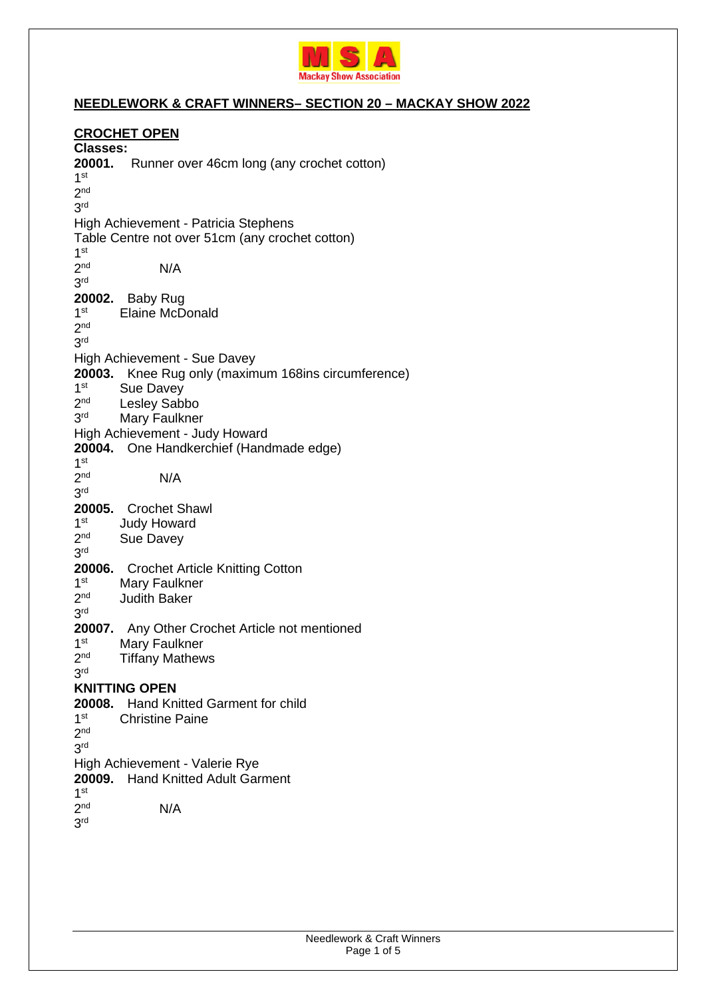

## **NEEDLEWORK & CRAFT WINNERS– SECTION 20 – MACKAY SHOW 2022**

#### **CROCHET OPEN Classes: 20001.** Runner over 46cm long (any crochet cotton) 1 st 2 nd 3 rd High Achievement - Patricia Stephens Table Centre not over 51cm (any crochet cotton) 1 st 2 nd N/A 3 rd **20002.** Baby Rug  $1<sup>st</sup>$ Elaine McDonald  $2<sup>nd</sup>$ 3 rd High Achievement - Sue Davey **20003.** Knee Rug only (maximum 168ins circumference)  $1<sup>st</sup>$ Sue Davey  $2<sup>nd</sup>$ Lesley Sabbo 3rd Mary Faulkner High Achievement - Judy Howard **20004.** One Handkerchief (Handmade edge) 1 st 2 nd N/A 3 rd **20005.** Crochet Shawl  $1<sup>st</sup>$ **Judy Howard**  $2<sup>nd</sup>$ Sue Davey 3 rd **20006.** Crochet Article Knitting Cotton  $1<sup>st</sup>$ Mary Faulkner  $2<sup>nd</sup>$ **Judith Baker** 3 rd **20007.** Any Other Crochet Article not mentioned  $1<sup>st</sup>$ Mary Faulkner  $2<sub>nd</sub>$ **Tiffany Mathews** 3 rd **KNITTING OPEN 20008.** Hand Knitted Garment for child  $1<sup>st</sup>$ **Christine Paine**  $2<sup>nd</sup>$ 3 rd High Achievement - Valerie Rye **20009.** Hand Knitted Adult Garment 1 st 2 nd N/A 3 rd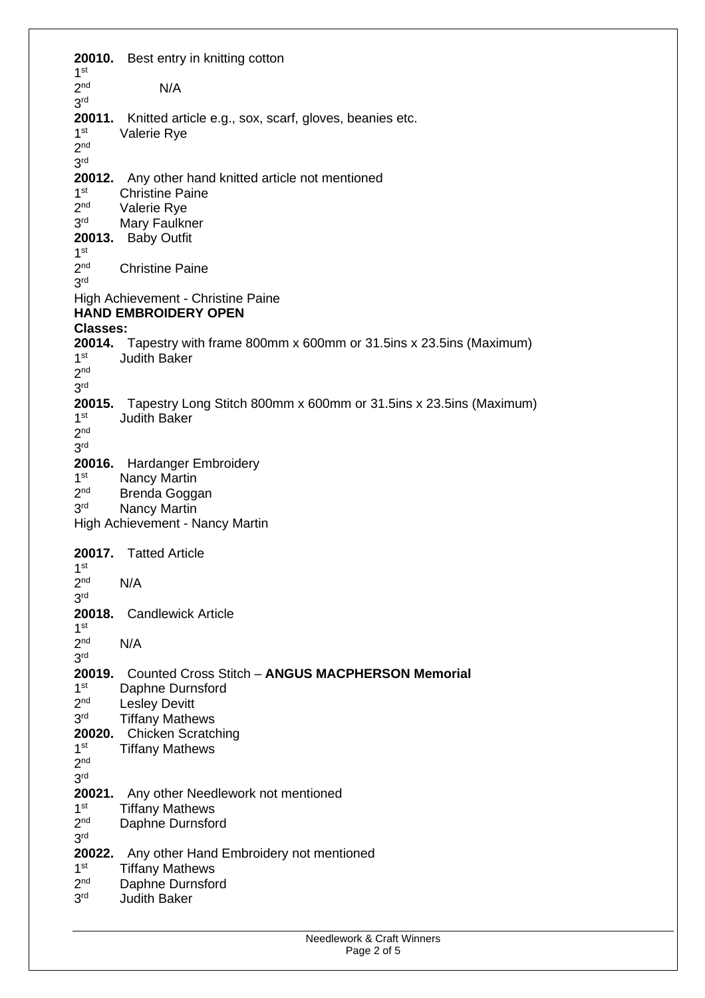| 20010.                                         | Best entry in knitting cotton                                                  |
|------------------------------------------------|--------------------------------------------------------------------------------|
| 1 <sup>st</sup><br>2 <sub>nd</sub>             | N/A                                                                            |
| 3 <sup>rd</sup>                                |                                                                                |
| 20011.                                         | Knitted article e.g., sox, scarf, gloves, beanies etc.                         |
| 1 <sup>st</sup>                                | Valerie Rye                                                                    |
| 2 <sub>nd</sub>                                |                                                                                |
| 3 <sup>rd</sup>                                |                                                                                |
|                                                | 20012. Any other hand knitted article not mentioned                            |
| 1 <sup>st</sup>                                | <b>Christine Paine</b>                                                         |
| 2 <sup>nd</sup><br>3 <sup>rd</sup>             | Valerie Rye                                                                    |
|                                                | Mary Faulkner<br>20013. Baby Outfit                                            |
| 1 <sup>st</sup>                                |                                                                                |
| 2 <sub>nd</sub>                                | <b>Christine Paine</b>                                                         |
| 3 <sup>rd</sup>                                |                                                                                |
| High Achievement - Christine Paine             |                                                                                |
| <b>HAND EMBROIDERY OPEN</b><br><b>Classes:</b> |                                                                                |
|                                                | <b>20014.</b> Tapestry with frame 800mm x 600mm or 31.5ins x 23.5ins (Maximum) |
| 1 <sup>st</sup>                                | <b>Judith Baker</b>                                                            |
| 2 <sub>nd</sub>                                |                                                                                |
| 3 <sup>rd</sup>                                |                                                                                |
| 20015.                                         | Tapestry Long Stitch 800mm x 600mm or 31.5ins x 23.5ins (Maximum)              |
| 1 <sup>st</sup><br>2 <sub>nd</sub>             | <b>Judith Baker</b>                                                            |
| 3 <sup>rd</sup>                                |                                                                                |
|                                                | 20016. Hardanger Embroidery                                                    |
| 1 <sup>st</sup>                                | <b>Nancy Martin</b>                                                            |
| 2 <sup>nd</sup>                                | Brenda Goggan                                                                  |
| 3 <sup>rd</sup>                                | <b>Nancy Martin</b>                                                            |
|                                                | High Achievement - Nancy Martin                                                |
| 20017. Tatted Article                          |                                                                                |
| 1 <sup>st</sup>                                |                                                                                |
| 2 <sup>nd</sup>                                | N/A                                                                            |
| 3 <sup>rd</sup>                                |                                                                                |
| 20018.<br>1 <sup>st</sup>                      | <b>Candlewick Article</b>                                                      |
| 2 <sub>nd</sub>                                | N/A                                                                            |
| 3 <sup>rd</sup>                                |                                                                                |
| 20019.                                         | <b>Counted Cross Stitch - ANGUS MACPHERSON Memorial</b>                        |
| 1 <sup>st</sup>                                | Daphne Durnsford                                                               |
| 2 <sub>nd</sub>                                | <b>Lesley Devitt</b>                                                           |
| 3 <sup>rd</sup>                                | <b>Tiffany Mathews</b>                                                         |
| 20020.<br>1 <sup>st</sup>                      | <b>Chicken Scratching</b><br><b>Tiffany Mathews</b>                            |
| 2 <sub>nd</sub>                                |                                                                                |
| 3 <sup>rd</sup>                                |                                                                                |
| 20021.                                         | Any other Needlework not mentioned                                             |
| 1 <sup>st</sup>                                | <b>Tiffany Mathews</b>                                                         |
| 2 <sub>nd</sub>                                | Daphne Durnsford                                                               |
| 3 <sup>rd</sup><br>20022.                      |                                                                                |
| 1 <sup>st</sup>                                | Any other Hand Embroidery not mentioned<br><b>Tiffany Mathews</b>              |
| 2 <sub>nd</sub>                                | Daphne Durnsford                                                               |
| 3 <sup>rd</sup>                                | <b>Judith Baker</b>                                                            |
|                                                |                                                                                |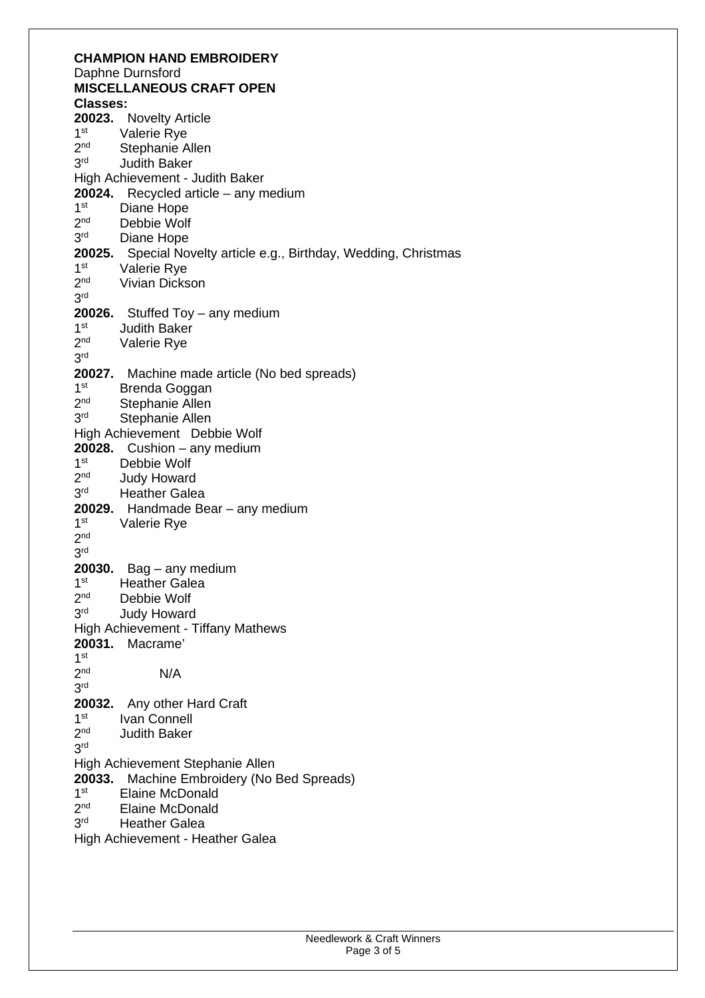| <b>CHAMPION HAND EMBROIDERY</b>                                      |  |  |
|----------------------------------------------------------------------|--|--|
| Daphne Durnsford                                                     |  |  |
| <b>MISCELLANEOUS CRAFT OPEN</b>                                      |  |  |
| <b>Classes:</b>                                                      |  |  |
| 20023.<br><b>Novelty Article</b>                                     |  |  |
| 1 <sup>st</sup><br>Valerie Rye                                       |  |  |
| 2 <sub>nd</sub><br>Stephanie Allen                                   |  |  |
| 3 <sup>rd</sup><br><b>Judith Baker</b>                               |  |  |
| High Achievement - Judith Baker                                      |  |  |
| 20024. Recycled article - any medium                                 |  |  |
| 1 <sup>st</sup><br>Diane Hope                                        |  |  |
| 2 <sub>nd</sub><br>Debbie Wolf                                       |  |  |
| 3 <sup>rd</sup><br>Diane Hope                                        |  |  |
| Special Novelty article e.g., Birthday, Wedding, Christmas<br>20025. |  |  |
| 1 <sup>st</sup><br>Valerie Rye                                       |  |  |
| 2 <sub>nd</sub><br>Vivian Dickson                                    |  |  |
| 3 <sup>rd</sup>                                                      |  |  |
| 20026.<br>Stuffed Toy - any medium                                   |  |  |
| 1 <sup>st</sup><br><b>Judith Baker</b>                               |  |  |
| 2 <sup>nd</sup><br>Valerie Rye                                       |  |  |
| 3 <sup>rd</sup>                                                      |  |  |
| 20027. Machine made article (No bed spreads)                         |  |  |
| 1 <sup>st</sup><br>Brenda Goggan                                     |  |  |
| 2 <sub>nd</sub><br><b>Stephanie Allen</b>                            |  |  |
| 3 <sup>rd</sup><br>Stephanie Allen                                   |  |  |
| High Achievement Debbie Wolf                                         |  |  |
| Cushion - any medium<br>20028.                                       |  |  |
| 1 <sup>st</sup><br>Debbie Wolf                                       |  |  |
| 2 <sub>nd</sub><br><b>Judy Howard</b>                                |  |  |
| 3 <sup>rd</sup><br><b>Heather Galea</b>                              |  |  |
| 20029. Handmade Bear - any medium                                    |  |  |
| 1 <sup>st</sup><br>Valerie Rye                                       |  |  |
| 2 <sub>nd</sub>                                                      |  |  |
| 3 <sup>rd</sup>                                                      |  |  |
| 20030.<br>$Bag - any medium$                                         |  |  |
| 1 <sup>st</sup><br><b>Heather Galea</b>                              |  |  |
| 2 <sub>nd</sub><br>Debbie Wolf                                       |  |  |
| 3 <sup>rd</sup><br><b>Judy Howard</b>                                |  |  |
| <b>High Achievement - Tiffany Mathews</b>                            |  |  |
| Macrame'<br>20031.                                                   |  |  |
| 1 <sup>st</sup>                                                      |  |  |
| 2 <sub>nd</sub><br>N/A                                               |  |  |
| 3 <sup>rd</sup>                                                      |  |  |
| 20032. Any other Hard Craft                                          |  |  |
| 1 <sup>st</sup><br>Ivan Connell                                      |  |  |
| 2 <sub>nd</sub><br><b>Judith Baker</b>                               |  |  |
| 3 <sup>rd</sup>                                                      |  |  |
| High Achievement Stephanie Allen                                     |  |  |
| 20033.<br>Machine Embroidery (No Bed Spreads)                        |  |  |
| 1 <sup>st</sup><br><b>Elaine McDonald</b>                            |  |  |
| 2 <sub>nd</sub><br><b>Elaine McDonald</b>                            |  |  |
| 3 <sup>rd</sup><br><b>Heather Galea</b>                              |  |  |
| High Achievement - Heather Galea                                     |  |  |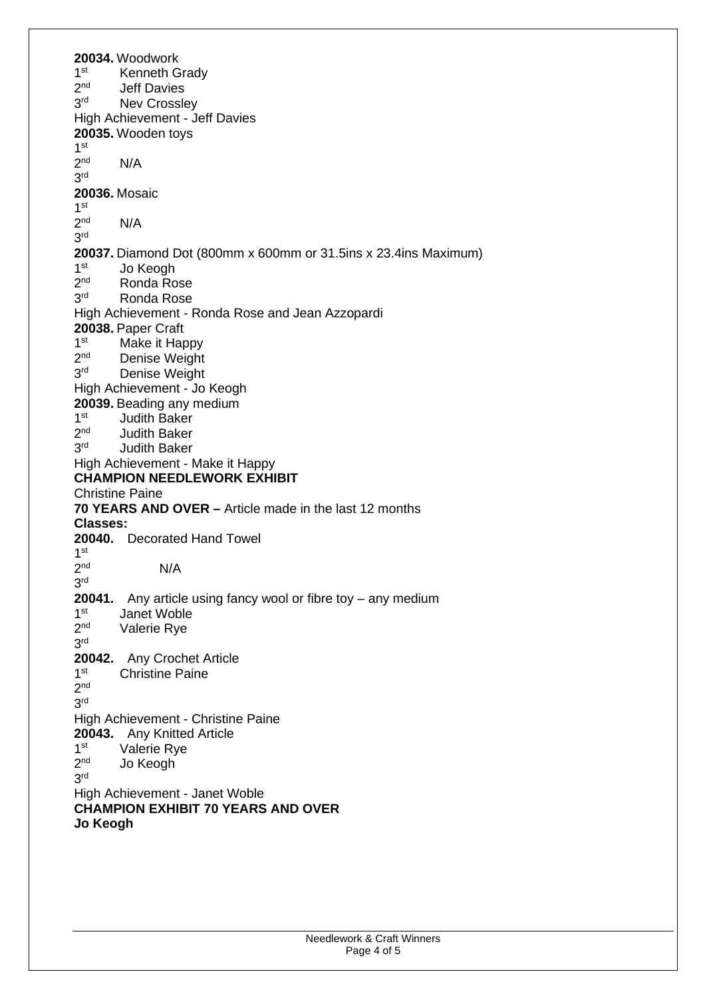**20034.** Woodwork  $1<sup>st</sup>$ Kenneth Grady  $2<sub>nd</sub>$ **Jeff Davies**  $3<sup>rd</sup>$ Nev Crossley High Achievement - Jeff Davies **20035.** Wooden toys 1 st  $2<sup>nd</sup>$  $N/A$ 3 rd **20036.** Mosaic 1 st  $2<sub>nd</sub>$  $N/A$ 3 rd **20037.** Diamond Dot (800mm x 600mm or 31.5ins x 23.4ins Maximum)  $1<sup>st</sup>$ Jo Keogh  $2<sup>nd</sup>$ Ronda Rose  $3<sup>rd</sup>$ Ronda Rose High Achievement - Ronda Rose and Jean Azzopardi **20038.** Paper Craft  $1<sup>st</sup>$ Make it Happy  $2<sub>nd</sub>$ Denise Weight 3<sup>rd</sup> Denise Weight High Achievement - Jo Keogh **20039.** Beading any medium  $1<sup>st</sup>$ Judith Baker  $2<sub>nd</sub>$ Judith Baker  $3<sup>rd</sup>$ **Judith Baker** High Achievement - Make it Happy **CHAMPION NEEDLEWORK EXHIBIT**  Christine Paine **70 YEARS AND OVER –** Article made in the last 12 months **Classes: 20040.** Decorated Hand Towel 1 st 2 nd N/A 3 rd **20041.** Any article using fancy wool or fibre toy – any medium  $1<sup>st</sup>$ Janet Woble  $2<sup>nd</sup>$ Valerie Rye 3 rd **20042.** Any Crochet Article  $1<sup>st</sup>$ Christine Paine  $2^{\text{nd}}$ 3 rd High Achievement - Christine Paine **20043.** Any Knitted Article  $1<sup>st</sup>$ Valerie Rye  $2<sup>nd</sup>$ Jo Keogh 3 rd High Achievement - Janet Woble **CHAMPION EXHIBIT 70 YEARS AND OVER Jo Keogh**